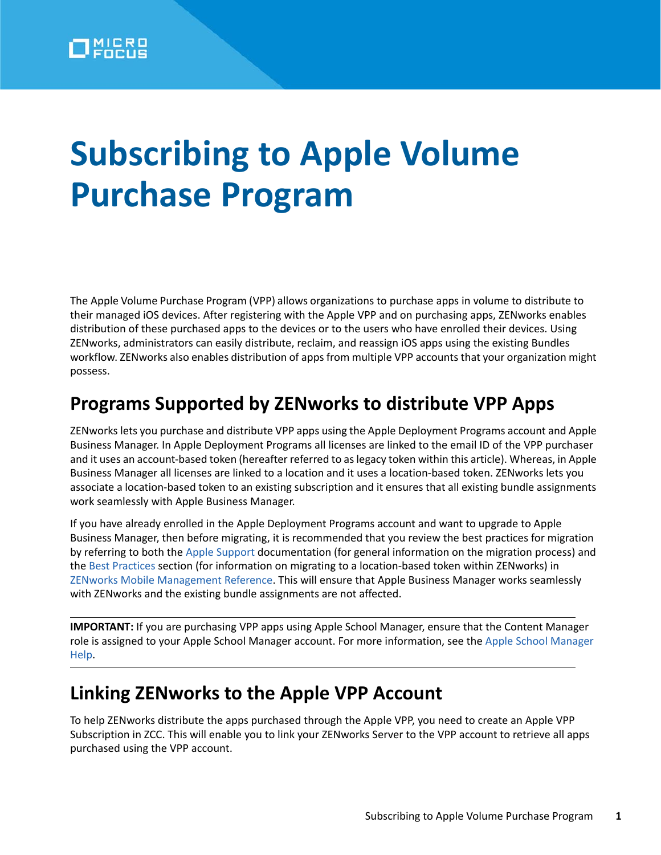# **Subscribing to Apple Volume Purchase Program**

The Apple Volume Purchase Program (VPP) allows organizations to purchase apps in volume to distribute to their managed iOS devices. After registering with the Apple VPP and on purchasing apps, ZENworks enables distribution of these purchased apps to the devices or to the users who have enrolled their devices. Using ZENworks, administrators can easily distribute, reclaim, and reassign iOS apps using the existing Bundles workflow. ZENworks also enables distribution of apps from multiple VPP accounts that your organization might possess.

### **Programs Supported by ZENworks to distribute VPP Apps**

ZENworks lets you purchase and distribute VPP apps using the Apple Deployment Programs account and Apple Business Manager. In Apple Deployment Programs all licenses are linked to the email ID of the VPP purchaser and it uses an account-based token (hereafter referred to as legacy token within this article). Whereas, in Apple Business Manager all licenses are linked to a location and it uses a location-based token. ZENworks lets you associate a location-based token to an existing subscription and it ensures that all existing bundle assignments work seamlessly with Apple Business Manager.

If you have already enrolled in the Apple Deployment Programs account and want to upgrade to Apple Business Manager, then before migrating, it is recommended that you review the best practices for migration by referring to both the Apple Support documentation (for general information on the migration process) and the [Best Practices](https://www.novell.com/documentation/zenworks-2020/pdfdoc/zen_mobile/zen_mobile.pdf#t46tumqjaijq) section (for information on migrating to a location-based token within ZENworks) in ZENworks Mobile Management Reference. This will ensure that Apple Business Manager works seamlessly with ZENworks and the existing bundle assignments are not affected.

**IMPORTANT:** If you are purchasing VPP apps using Apple School Manager, ensure that the Content Manager role is assigned to your Apple School Manager account. For more information, see the Apple School Manager Help.

### **Linking ZENworks to the Apple VPP Account**

To help ZENworks distribute the apps purchased through the Apple VPP, you need to create an Apple VPP Subscription in ZCC. This will enable you to link your ZENworks Server to the VPP account to retrieve all apps purchased using the VPP account.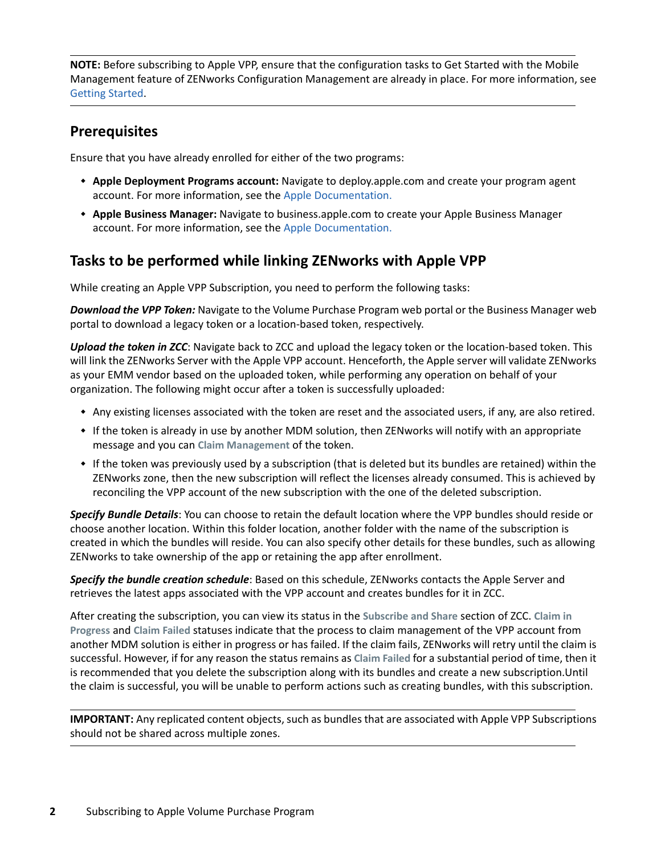**NOTE:** Before subscribing to Apple VPP, ensure that the configuration tasks to Get Started with the Mobile Management feature of ZENworks Configuration Management are already in place. For more information, see [Getting Started.](https://www.novell.com/documentation/zenworks-2020/pdfdoc/zen_mobile/zen_mobile.pdf#t47mbmxu2lxz)

#### **Prerequisites**

Ensure that you have already enrolled for either of the two programs:

- **Apple Deployment Programs account:** Navigate to deploy.apple.com and create your program agent account. For more information, see the Apple Documentation.
- **Apple Business Manager:** Navigate to business.apple.com to create your Apple Business Manager account. For more information, see the Apple Documentation.

#### **Tasks to be performed while linking ZENworks with Apple VPP**

While creating an Apple VPP Subscription, you need to perform the following tasks:

*Download the VPP Token:* Navigate to the Volume Purchase Program web portal or the Business Manager web portal to download a legacy token or a location-based token, respectively.

*Upload the token in ZCC*: Navigate back to ZCC and upload the legacy token or the location-based token. This will link the ZENworks Server with the Apple VPP account. Henceforth, the Apple server will validate ZENworks as your EMM vendor based on the uploaded token, while performing any operation on behalf of your organization. The following might occur after a token is successfully uploaded:

- Any existing licenses associated with the token are reset and the associated users, if any, are also retired.
- If the token is already in use by another MDM solution, then ZENworks will notify with an appropriate message and you can **Claim Management** of the token.
- If the token was previously used by a subscription (that is deleted but its bundles are retained) within the ZENworks zone, then the new subscription will reflect the licenses already consumed. This is achieved by reconciling the VPP account of the new subscription with the one of the deleted subscription.

*Specify Bundle Details*: You can choose to retain the default location where the VPP bundles should reside or choose another location. Within this folder location, another folder with the name of the subscription is created in which the bundles will reside. You can also specify other details for these bundles, such as allowing ZENworks to take ownership of the app or retaining the app after enrollment.

*Specify the bundle creation schedule*: Based on this schedule, ZENworks contacts the Apple Server and retrieves the latest apps associated with the VPP account and creates bundles for it in ZCC.

After creating the subscription, you can view its status in the **Subscribe and Share** section of ZCC. **Claim in Progress** and **Claim Failed** statuses indicate that the process to claim management of the VPP account from another MDM solution is either in progress or has failed. If the claim fails, ZENworks will retry until the claim is successful. However, if for any reason the status remains as **Claim Failed** for a substantial period of time, then it is recommended that you delete the subscription along with its bundles and create a new subscription.Until the claim is successful, you will be unable to perform actions such as creating bundles, with this subscription.

**IMPORTANT:** Any replicated content objects, such as bundles that are associated with Apple VPP Subscriptions should not be shared across multiple zones.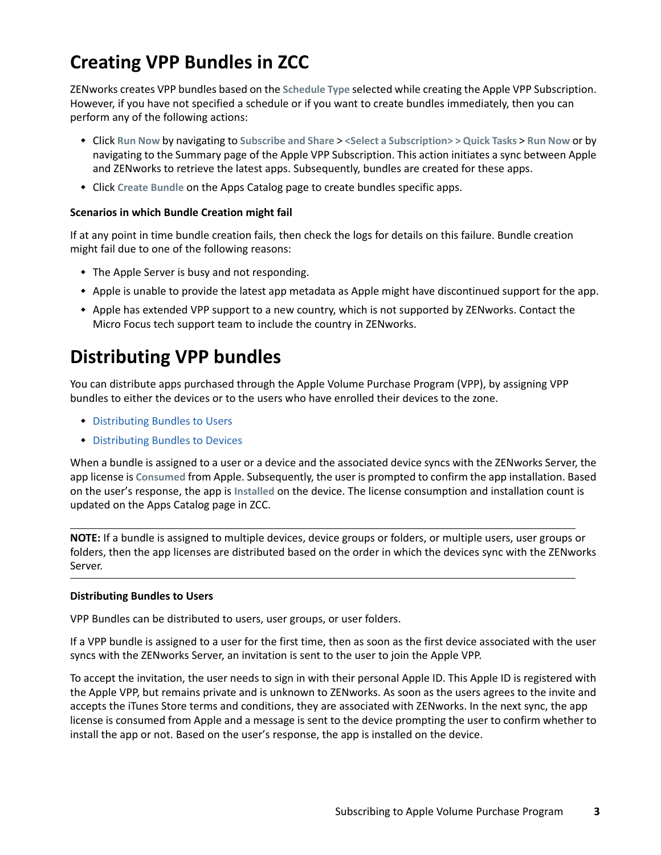# **Creating VPP Bundles in ZCC**

ZENworks creates VPP bundles based on the **Schedule Type** selected while creating the Apple VPP Subscription. However, if you have not specified a schedule or if you want to create bundles immediately, then you can perform any of the following actions:

- Click **Run Now** by navigating to **Subscribe and Share** > **<Select a Subscription> > Quick Tasks** > **Run Now** or by navigating to the Summary page of the Apple VPP Subscription. This action initiates a sync between Apple and ZENworks to retrieve the latest apps. Subsequently, bundles are created for these apps.
- Click **Create Bundle** on the Apps Catalog page to create bundles specific apps.

#### **Scenarios in which Bundle Creation might fail**

If at any point in time bundle creation fails, then check the logs for details on this failure. Bundle creation might fail due to one of the following reasons:

- The Apple Server is busy and not responding.
- Apple is unable to provide the latest app metadata as Apple might have discontinued support for the app.
- Apple has extended VPP support to a new country, which is not supported by ZENworks. Contact the Micro Focus tech support team to include the country in ZENworks.

# **Distributing VPP bundles**

You can distribute apps purchased through the Apple Volume Purchase Program (VPP), by assigning VPP bundles to either the devices or to the users who have enrolled their devices to the zone.

- [Distributing Bundles to Users](#page-2-0)
- [Distributing Bundles to Devices](#page-3-0)

When a bundle is assigned to a user or a device and the associated device syncs with the ZENworks Server, the app license is **Consumed** from Apple. Subsequently, the user is prompted to confirm the app installation. Based on the user's response, the app is **Installed** on the device. The license consumption and installation count is updated on the Apps Catalog page in ZCC.

**NOTE:** If a bundle is assigned to multiple devices, device groups or folders, or multiple users, user groups or folders, then the app licenses are distributed based on the order in which the devices sync with the ZENworks Server.

#### <span id="page-2-0"></span>**Distributing Bundles to Users**

VPP Bundles can be distributed to users, user groups, or user folders.

If a VPP bundle is assigned to a user for the first time, then as soon as the first device associated with the user syncs with the ZENworks Server, an invitation is sent to the user to join the Apple VPP.

To accept the invitation, the user needs to sign in with their personal Apple ID. This Apple ID is registered with the Apple VPP, but remains private and is unknown to ZENworks. As soon as the users agrees to the invite and accepts the iTunes Store terms and conditions, they are associated with ZENworks. In the next sync, the app license is consumed from Apple and a message is sent to the device prompting the user to confirm whether to install the app or not. Based on the user's response, the app is installed on the device.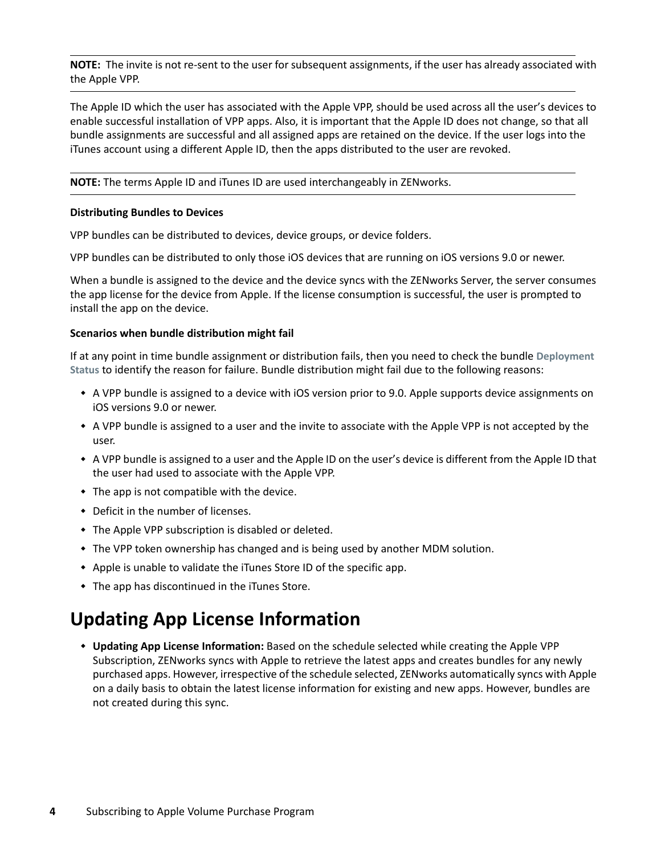**NOTE:** The invite is not re-sent to the user for subsequent assignments, if the user has already associated with the Apple VPP.

The Apple ID which the user has associated with the Apple VPP, should be used across all the user's devices to enable successful installation of VPP apps. Also, it is important that the Apple ID does not change, so that all bundle assignments are successful and all assigned apps are retained on the device. If the user logs into the iTunes account using a different Apple ID, then the apps distributed to the user are revoked.

**NOTE:** The terms Apple ID and iTunes ID are used interchangeably in ZENworks.

#### <span id="page-3-0"></span>**Distributing Bundles to Devices**

VPP bundles can be distributed to devices, device groups, or device folders.

VPP bundles can be distributed to only those iOS devices that are running on iOS versions 9.0 or newer.

When a bundle is assigned to the device and the device syncs with the ZENworks Server, the server consumes the app license for the device from Apple. If the license consumption is successful, the user is prompted to install the app on the device.

#### **Scenarios when bundle distribution might fail**

If at any point in time bundle assignment or distribution fails, then you need to check the bundle **Deployment Status** to identify the reason for failure. Bundle distribution might fail due to the following reasons:

- A VPP bundle is assigned to a device with iOS version prior to 9.0. Apple supports device assignments on iOS versions 9.0 or newer.
- A VPP bundle is assigned to a user and the invite to associate with the Apple VPP is not accepted by the user.
- A VPP bundle is assigned to a user and the Apple ID on the user's device is different from the Apple ID that the user had used to associate with the Apple VPP.
- $\bullet$  The app is not compatible with the device.
- Deficit in the number of licenses.
- The Apple VPP subscription is disabled or deleted.
- The VPP token ownership has changed and is being used by another MDM solution.
- Apple is unable to validate the iTunes Store ID of the specific app.
- The app has discontinued in the iTunes Store.

### **Updating App License Information**

 **Updating App License Information:** Based on the schedule selected while creating the Apple VPP Subscription, ZENworks syncs with Apple to retrieve the latest apps and creates bundles for any newly purchased apps. However, irrespective of the schedule selected, ZENworks automatically syncs with Apple on a daily basis to obtain the latest license information for existing and new apps. However, bundles are not created during this sync.